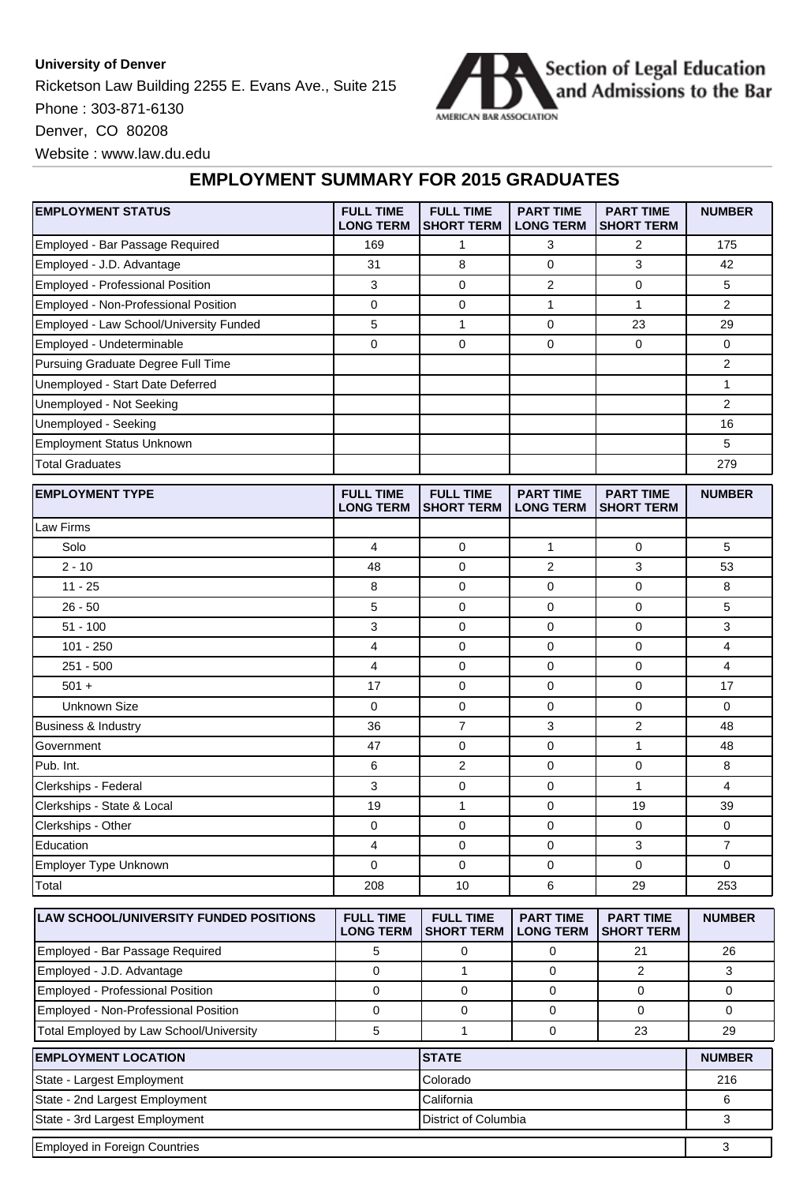## **University of Denver**

Ricketson Law Building 2255 E. Evans Ave., Suite 215 Phone : 303-871-6130



Denver, CO 80208

Website : www.law.du.edu

## **EMPLOYMENT SUMMARY FOR 2015 GRADUATES**

| <b>EMPLOYMENT STATUS</b>                      | <b>FULL TIME</b><br><b>LONG TERM</b> | <b>FULL TIME</b><br><b>SHORT TERM</b> | <b>PART TIME</b><br><b>LONG TERM</b> | <b>PART TIME</b><br><b>SHORT TERM</b> | <b>NUMBER</b>  |
|-----------------------------------------------|--------------------------------------|---------------------------------------|--------------------------------------|---------------------------------------|----------------|
| Employed - Bar Passage Required               | 169                                  | 1                                     | 3                                    | $\overline{2}$                        | 175            |
| Employed - J.D. Advantage                     | 31                                   | 8                                     | $\mathbf 0$                          | 3                                     | 42             |
| Employed - Professional Position              | 3                                    | 0                                     | $\overline{2}$                       | 0                                     | 5              |
| Employed - Non-Professional Position          | $\mathbf 0$                          | 0                                     | $\mathbf{1}$                         | $\mathbf{1}$                          | $\overline{2}$ |
| Employed - Law School/University Funded       | 5                                    | $\mathbf{1}$                          | $\mathbf 0$                          | 23                                    | 29             |
| Employed - Undeterminable                     | $\mathbf 0$                          | 0                                     | 0                                    | $\Omega$                              | 0              |
| Pursuing Graduate Degree Full Time            |                                      |                                       |                                      |                                       | 2              |
| Unemployed - Start Date Deferred              |                                      |                                       |                                      |                                       | 1              |
| Unemployed - Not Seeking                      |                                      |                                       |                                      |                                       | 2              |
| Unemployed - Seeking                          |                                      |                                       |                                      |                                       | 16             |
| <b>Employment Status Unknown</b>              |                                      |                                       |                                      |                                       | 5              |
| <b>Total Graduates</b>                        |                                      |                                       |                                      |                                       | 279            |
| <b>EMPLOYMENT TYPE</b>                        | <b>FULL TIME</b><br><b>LONG TERM</b> | <b>FULL TIME</b><br>SHORT TERM        | <b>PART TIME</b><br><b>LONG TERM</b> | <b>PART TIME</b><br><b>SHORT TERM</b> | <b>NUMBER</b>  |
| Law Firms                                     |                                      |                                       |                                      |                                       |                |
| Solo                                          | 4                                    | 0                                     | $\mathbf{1}$                         | 0                                     | 5              |
| $2 - 10$                                      | 48                                   | 0                                     | 2                                    | 3                                     | 53             |
| $11 - 25$                                     | 8                                    | 0                                     | 0                                    | 0                                     | 8              |
| $26 - 50$                                     | 5                                    | 0                                     | 0                                    | 0                                     | 5              |
| $51 - 100$                                    | 3                                    | 0                                     | 0                                    | 0                                     | 3              |
| $101 - 250$                                   | $\overline{4}$                       | 0                                     | $\mathbf 0$                          | 0                                     | 4              |
| $251 - 500$                                   | 4                                    | 0                                     | $\mathbf 0$                          | 0                                     | 4              |
| $501 +$                                       | 17                                   | 0                                     | 0                                    | 0                                     | 17             |
| <b>Unknown Size</b>                           | $\mathbf 0$                          | 0                                     | 0                                    | 0                                     | 0              |
| Business & Industry                           | 36                                   | $\overline{7}$                        | 3                                    | $\overline{2}$                        | 48             |
| Government                                    | 47                                   | 0                                     | 0                                    | $\mathbf{1}$                          | 48             |
| Pub. Int.                                     | 6                                    | $\overline{2}$                        | 0                                    | 0                                     | 8              |
| Clerkships - Federal                          | 3                                    | 0                                     | 0                                    | $\mathbf{1}$                          | 4              |
| Clerkships - State & Local                    | 19                                   | 1                                     | 0                                    | 19                                    | 39             |
| Clerkships - Other                            | $\mathbf 0$                          | 0                                     | 0                                    | 0                                     | 0              |
| Education                                     | $\overline{4}$                       | 0                                     | $\mathbf 0$                          | 3                                     | $\overline{7}$ |
| Employer Type Unknown                         | $\mathbf 0$                          | 0                                     | 0                                    | 0                                     | 0              |
| Total                                         | 208                                  | 10                                    | 6                                    | 29                                    | 253            |
| <b>LAW SCHOOL/UNIVERSITY FUNDED POSITIONS</b> | <b>FULL TIME</b><br><b>LONG TERM</b> | <b>FULL TIME</b><br><b>SHORT TERM</b> | <b>PART TIME</b><br><b>LONG TERM</b> | <b>PART TIME</b><br><b>SHORT TERM</b> | <b>NUMBER</b>  |

|                                         | <b>LONG TERM</b> | <b>ISHORT TERM I</b> | <b>LONG TERM</b> | <b>ISHORT TERM</b> |               |
|-----------------------------------------|------------------|----------------------|------------------|--------------------|---------------|
| Employed - Bar Passage Required         |                  |                      |                  | 21                 | 26            |
| Employed - J.D. Advantage               |                  |                      |                  |                    |               |
| <b>Employed - Professional Position</b> |                  |                      |                  |                    |               |
| Employed - Non-Professional Position    | ∩                |                      |                  |                    |               |
| Total Employed by Law School/University |                  |                      |                  | 23                 | 29            |
| <b>EMPLOYMENT LOCATION</b>              |                  | <b>ISTATE</b>        |                  |                    | <b>NUMBER</b> |
| State - Largest Employment              |                  | Colorado             |                  |                    | 216           |
| State - 2nd Largest Employment          |                  | California           | ิค               |                    |               |

State - 3rd Largest Employment **Columbia** 3 Employed in Foreign Countries 3